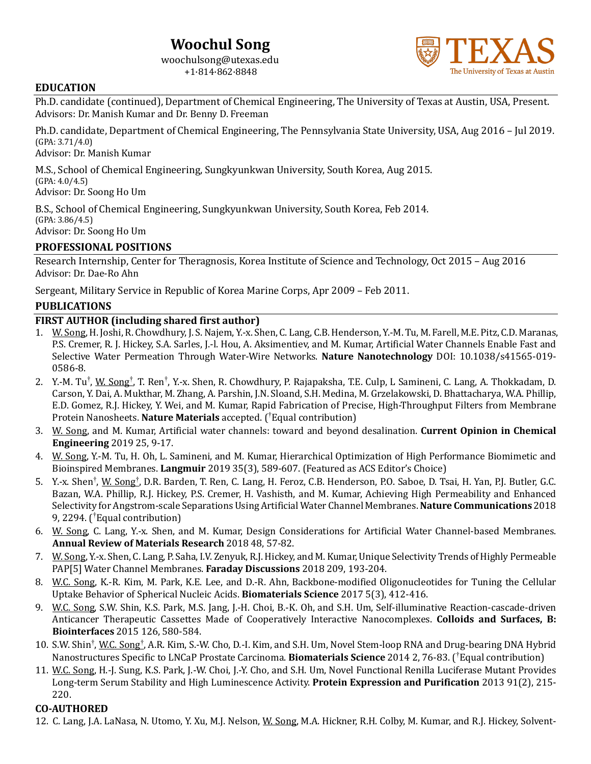# **Woochul Song**

woochulsong@utexas.edu +1·814·862·8848



#### **EDUCATION**

Ph.D. candidate (continued), Department of Chemical Engineering, The University of Texas at Austin, USA, Present. Advisors: Dr. Manish Kumar and Dr. Benny D. Freeman

Ph.D. candidate, Department of Chemical Engineering, The Pennsylvania State University, USA, Aug 2016 – Jul 2019. (GPA: 3.71/4.0)

Advisor: Dr. Manish Kumar

M.S., School of Chemical Engineering, Sungkyunkwan University, South Korea, Aug 2015.  $(GPA: 4.0/4.5)$ Advisor: Dr. Soong Ho Um

B.S., School of Chemical Engineering, Sungkyunkwan University, South Korea, Feb 2014.  $(GPA: 3.86/4.5)$ Advisor: Dr. Soong Ho Um

## **PROFESSIONAL POSITIONS**

Research Internship, Center for Theragnosis, Korea Institute of Science and Technology, Oct 2015 – Aug 2016 Advisor: Dr. Dae-Ro Ahn

Sergeant, Military Service in Republic of Korea Marine Corps, Apr 2009 – Feb 2011.

#### **PUBLICATIONS**

#### **FIRST AUTHOR (including shared first author)**

- 1. W. Song, H. Joshi, R. Chowdhury, J. S. Najem, Y.-x. Shen, C. Lang, C.B. Henderson, Y.-M. Tu, M. Farell, M.E. Pitz, C.D. Maranas, P.S. Cremer, R. J. Hickey, S.A. Sarles, J.-l. Hou, A. Aksimentiev, and M. Kumar, Artificial Water Channels Enable Fast and Selective Water Permeation Through Water-Wire Networks. Nature Nanotechnology DOI: 10.1038/s41565-019-0586-8.
- 2. Y.-M. Tu<sup>†</sup>, <u>W. Song<sup>†</sup>,</u> T. Ren<sup>†</sup>, Y.-x. Shen, R. Chowdhury, P. Rajapaksha, T.E. Culp, L Samineni, C. Lang, A. Thokkadam, D. Carson, Y. Dai, A. Mukthar, M. Zhang, A. Parshin, J.N. Sloand, S.H. Medina, M. Grzelakowski, D. Bhattacharya, W.A. Phillip, E.D. Gomez, R.J. Hickey, Y. Wei, and M. Kumar, Rapid Fabrication of Precise, High-Throughput Filters from Membrane Protein Nanosheets. Nature Materials accepted. (<sup>†</sup>Equal contribution)
- 3. W. Song, and M. Kumar, Artificial water channels: toward and beyond desalination. **Current Opinion in Chemical Engineering** 2019 25, 9-17.
- 4. W. Song, Y.-M. Tu, H. Oh, L. Samineni, and M. Kumar, Hierarchical Optimization of High Performance Biomimetic and Bioinspired Membranes. Langmuir 2019 35(3), 589-607. (Featured as ACS Editor's Choice)
- 5. Y.-x. Shen<sup>†</sup>, <u>W. Song<sup>†</sup>,</u> D.R. Barden, T. Ren, C. Lang, H. Feroz, C.B. Henderson, P.O. Saboe, D. Tsai, H. Yan, P.J. Butler, G.C. Bazan, W.A. Phillip, R.J. Hickey, P.S. Cremer, H. Vashisth, and M. Kumar, Achieving High Permeability and Enhanced Selectivity for Angstrom-scale Separations Using Artificial Water Channel Membranes. Nature Communications 2018 9, 2294. (<sup>†</sup>Equal contribution)
- 6. W. Song, C. Lang, Y.-x. Shen, and M. Kumar, Design Considerations for Artificial Water Channel-based Membranes. **Annual Review of Materials Research** 2018 48, 57-82.
- 7. W. Song, Y.-x. Shen, C. Lang, P. Saha, I.V. Zenyuk, R.J. Hickey, and M. Kumar, Unique Selectivity Trends of Highly Permeable PAP[5] Water Channel Membranes. Faraday Discussions 2018 209, 193-204.
- 8. W.C. Song, K.-R. Kim, M. Park, K.E. Lee, and D.-R. Ahn, Backbone-modified Oligonucleotides for Tuning the Cellular Uptake Behavior of Spherical Nucleic Acids. **Biomaterials Science** 2017 5(3), 412-416.
- 9. W.C. Song, S.W. Shin, K.S. Park, M.S. Jang, J.-H. Choi, B.-K. Oh, and S.H. Um, Self-illuminative Reaction-cascade-driven Anticancer Therapeutic Cassettes Made of Cooperatively Interactive Nanocomplexes. **Colloids and Surfaces, B: Biointerfaces** 2015 126, 580-584.
- 10. S.W. Shin<sup>†</sup>, W.C. Song<sup>†</sup>, A.R. Kim, S.-W. Cho, D.-I. Kim, and S.H. Um, Novel Stem-loop RNA and Drug-bearing DNA Hybrid Nanostructures Specific to LNCaP Prostate Carcinoma. **Biomaterials Science** 2014 2, 76-83. (<sup>†</sup>Equal contribution)
- 11. W.C. Song, H.-J. Sung, K.S. Park, J.-W. Choi, J.-Y. Cho, and S.H. Um, Novel Functional Renilla Luciferase Mutant Provides Long-term Serum Stability and High Luminescence Activity. **Protein Expression and Purification** 2013 91(2), 215-220.

#### **CO-AUTHORED**

12. C. Lang, J.A. LaNasa, N. Utomo, Y. Xu, M.J. Nelson, W. Song, M.A. Hickner, R.H. Colby, M. Kumar, and R.J. Hickey, Solvent-